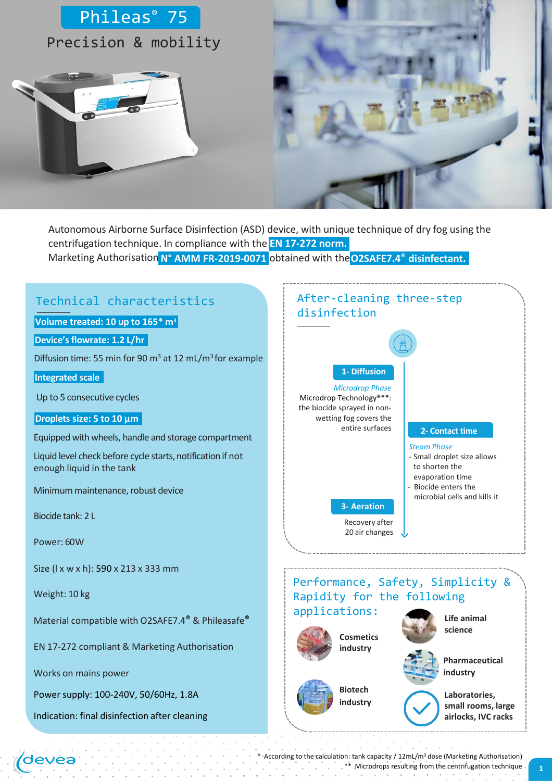



Marketing Authorisation **N° AMM FR-2019-0071** obtained with the**O2SAFE7.4® disinfectant.** Autonomous Airborne Surface Disinfection (ASD) device, with unique technique of dry fog using the centrifugation technique. In compliance with the **EN 17-272 norm.**

# Technical characteristics

**Volume treated: 10 up to 165\* m<sup>3</sup>**

**Device'sflowrate: 1.2 L/hr**

Diffusion time: 55 min for 90 m<sup>3</sup> at 12 mL/m<sup>3</sup>for example

**Integrated scale**

Up to 5 consecutive cycles

#### **Droplets size: 5 to 10 µm**

Equipped with wheels, handle and storage compartment

Liquid level check before cycle starts, notification if not enough liquid in the tank

Minimum maintenance, robust device

Biocide tank: 2 L

Power: 60W

Size (l x w x h): 590 x 213 x 333 mm

Weight: 10 kg

devea

Material compatible with O2SAFE7.4**®** & Phileasafe**®**

EN 17-272 compliant & Marketing Authorisation

Works on mains power

Power supply: 100-240V, 50/60Hz, 1.8A

Indication: final disinfection after cleaning

## After-cleaning three-step disinfection



*Microdrop Phase* Microdrop Technology®\*\*: the biocide sprayed in nonwetting fog covers the entire surfaces

#### **2- Contact time**

- *Steam Phase*
- Small droplet size allows
- to shorten the evaporation time
- Biocide enters the
- microbial cells and kills it

**3- Aeration**

Recovery after 20 air changes

Performance, Safety, Simplicity & Rapidity for the following applications: **Life animal** 





**Biotech industry**



**Pharmaceutical industry**

**science**



**Laboratories, small rooms, large airlocks, IVC racks**

\* According to the calculation: tank capacity / 12mL/m<sup>3</sup> dose (Marketing Authorisation) \*\* Microdrops resulting from the centrifugation technique